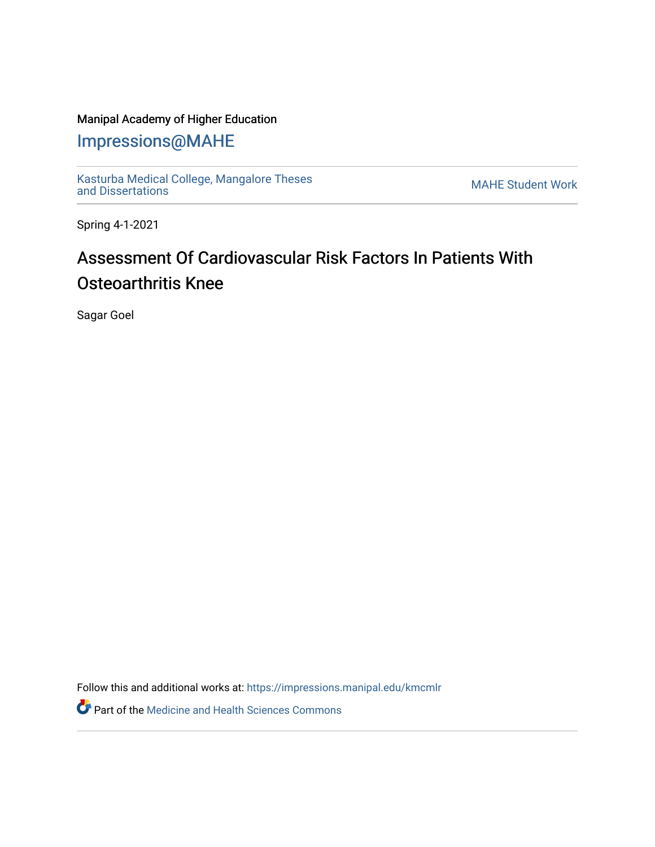## Manipal Academy of Higher Education

## [Impressions@MAHE](https://impressions.manipal.edu/)

[Kasturba Medical College, Mangalore Theses](https://impressions.manipal.edu/kmcmlr) [and Dissertations](https://impressions.manipal.edu/kmcmlr) [MAHE Student Work](https://impressions.manipal.edu/student-work) 

Spring 4-1-2021

## Assessment Of Cardiovascular Risk Factors In Patients With Osteoarthritis Knee

Sagar Goel

Follow this and additional works at: [https://impressions.manipal.edu/kmcmlr](https://impressions.manipal.edu/kmcmlr?utm_source=impressions.manipal.edu%2Fkmcmlr%2F200&utm_medium=PDF&utm_campaign=PDFCoverPages) 

Part of the [Medicine and Health Sciences Commons](http://network.bepress.com/hgg/discipline/648?utm_source=impressions.manipal.edu%2Fkmcmlr%2F200&utm_medium=PDF&utm_campaign=PDFCoverPages)